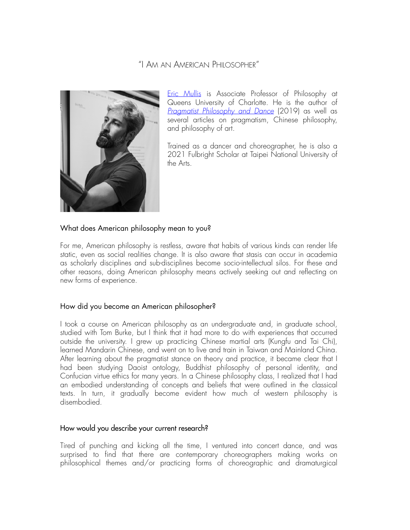# "I AM AN AMERICAN PHILOSOPHER"



[Eric Mullis](http://www.ericmullis8.com) is Associate Professor of Philosophy at Queens University of Charlotte. He is the author of *[Pragmatist Philosophy and Dance](https://link.springer.com/book/10.1007/978-3-030-29314-7)* (2019) as well as several articles on pragmatism, Chinese philosophy, and philosophy of art.

Trained as a dancer and choreographer, he is also a 2021 Fulbright Scholar at Taipei National University of the Arts.

## What does American philosophy mean to you?

For me, American philosophy is restless, aware that habits of various kinds can render life static, even as social realities change. It is also aware that stasis can occur in academia as scholarly disciplines and sub-disciplines become socio-intellectual silos. For these and other reasons, doing American philosophy means actively seeking out and reflecting on new forms of experience.

### How did you become an American philosopher?

I took a course on American philosophy as an undergraduate and, in graduate school, studied with Tom Burke, but I think that it had more to do with experiences that occurred outside the university. I grew up practicing Chinese martial arts (Kungfu and Tai Chi), learned Mandarin Chinese, and went on to live and train in Taiwan and Mainland China. After learning about the pragmatist stance on theory and practice, it became clear that I had been studying Daoist ontology, Buddhist philosophy of personal identity, and Confucian virtue ethics for many years. In a Chinese philosophy class, I realized that I had an embodied understanding of concepts and beliefs that were outlined in the classical texts. In turn, it gradually become evident how much of western philosophy is disembodied.

### How would you describe your current research?

Tired of punching and kicking all the time, I ventured into concert dance, and was surprised to find that there are contemporary choreographers making works on philosophical themes and/or practicing forms of choreographic and dramaturgical